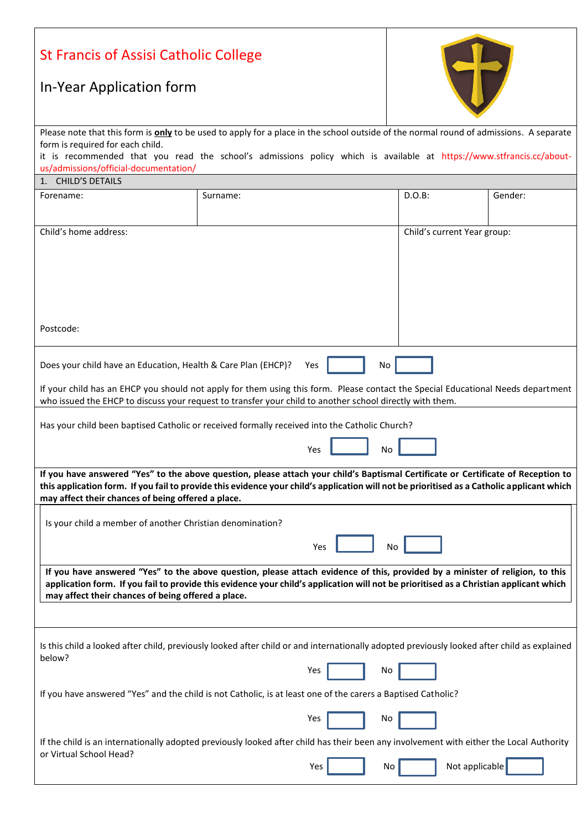| <b>St Francis of Assisi Catholic College</b>                                                                                                                                                                                                                                                                                          |                                                                                                                                                                 |           |         |  |  |  |  |  |
|---------------------------------------------------------------------------------------------------------------------------------------------------------------------------------------------------------------------------------------------------------------------------------------------------------------------------------------|-----------------------------------------------------------------------------------------------------------------------------------------------------------------|-----------|---------|--|--|--|--|--|
| In-Year Application form                                                                                                                                                                                                                                                                                                              |                                                                                                                                                                 |           |         |  |  |  |  |  |
| Please note that this form is only to be used to apply for a place in the school outside of the normal round of admissions. A separate                                                                                                                                                                                                |                                                                                                                                                                 |           |         |  |  |  |  |  |
| form is required for each child.<br>it is recommended that you read the school's admissions policy which is available at https://www.stfrancis.cc/about-<br>us/admissions/official-documentation/                                                                                                                                     |                                                                                                                                                                 |           |         |  |  |  |  |  |
| 1. CHILD'S DETAILS                                                                                                                                                                                                                                                                                                                    |                                                                                                                                                                 |           |         |  |  |  |  |  |
| Forename:                                                                                                                                                                                                                                                                                                                             | Surname:                                                                                                                                                        | $D.O.B$ : | Gender: |  |  |  |  |  |
| Child's home address:                                                                                                                                                                                                                                                                                                                 | Child's current Year group:                                                                                                                                     |           |         |  |  |  |  |  |
| Postcode:                                                                                                                                                                                                                                                                                                                             |                                                                                                                                                                 |           |         |  |  |  |  |  |
| Does your child have an Education, Health & Care Plan (EHCP)?<br>Yes<br>No                                                                                                                                                                                                                                                            |                                                                                                                                                                 |           |         |  |  |  |  |  |
| If your child has an EHCP you should not apply for them using this form. Please contact the Special Educational Needs department<br>who issued the EHCP to discuss your request to transfer your child to another school directly with them.                                                                                          |                                                                                                                                                                 |           |         |  |  |  |  |  |
| Has your child been baptised Catholic or received formally received into the Catholic Church?                                                                                                                                                                                                                                         |                                                                                                                                                                 |           |         |  |  |  |  |  |
| Yes<br>No                                                                                                                                                                                                                                                                                                                             |                                                                                                                                                                 |           |         |  |  |  |  |  |
| If you have answered "Yes" to the above question, please attach your child's Baptismal Certificate or Certificate of Reception to<br>this application form. If you fail to provide this evidence your child's application will not be prioritised as a Catholic applicant which<br>may affect their chances of being offered a place. |                                                                                                                                                                 |           |         |  |  |  |  |  |
| Is your child a member of another Christian denomination?                                                                                                                                                                                                                                                                             |                                                                                                                                                                 |           |         |  |  |  |  |  |
| No<br>Yes                                                                                                                                                                                                                                                                                                                             |                                                                                                                                                                 |           |         |  |  |  |  |  |
| If you have answered "Yes" to the above question, please attach evidence of this, provided by a minister of religion, to this<br>application form. If you fail to provide this evidence your child's application will not be prioritised as a Christian applicant which<br>may affect their chances of being offered a place.         |                                                                                                                                                                 |           |         |  |  |  |  |  |
|                                                                                                                                                                                                                                                                                                                                       |                                                                                                                                                                 |           |         |  |  |  |  |  |
| Is this child a looked after child, previously looked after child or and internationally adopted previously looked after child as explained<br>below?                                                                                                                                                                                 |                                                                                                                                                                 |           |         |  |  |  |  |  |
| Yes<br>No                                                                                                                                                                                                                                                                                                                             |                                                                                                                                                                 |           |         |  |  |  |  |  |
| If you have answered "Yes" and the child is not Catholic, is at least one of the carers a Baptised Catholic?                                                                                                                                                                                                                          |                                                                                                                                                                 |           |         |  |  |  |  |  |
|                                                                                                                                                                                                                                                                                                                                       | Yes                                                                                                                                                             | No        |         |  |  |  |  |  |
| or Virtual School Head?                                                                                                                                                                                                                                                                                                               | If the child is an internationally adopted previously looked after child has their been any involvement with either the Local Authority<br>Not applicable<br>No |           |         |  |  |  |  |  |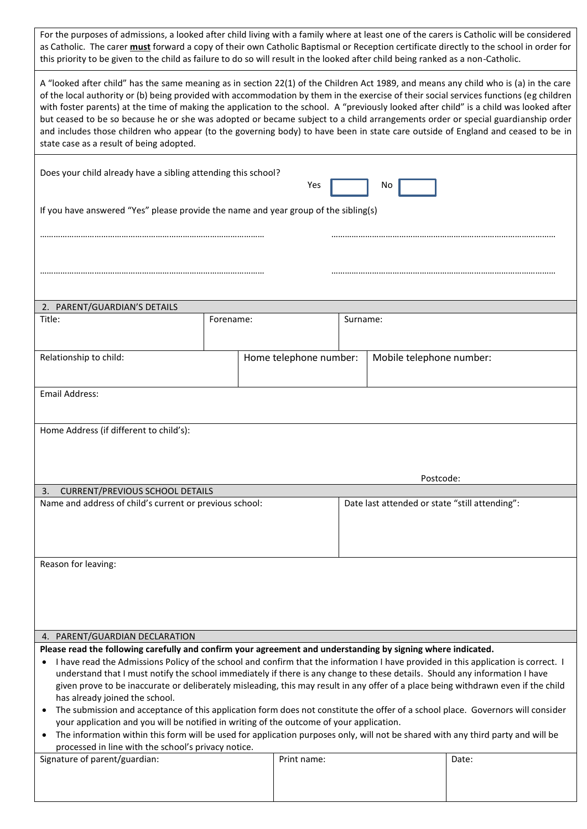For the purposes of admissions, a looked after child living with a family where at least one of the carers is Catholic will be considered as Catholic. The carer **must** forward a copy of their own Catholic Baptismal or Reception certificate directly to the school in order for this priority to be given to the child as failure to do so will result in the looked after child being ranked as a non-Catholic.

| A "looked after child" has the same meaning as in section 22(1) of the Children Act 1989, and means any child who is (a) in the care<br>of the local authority or (b) being provided with accommodation by them in the exercise of their social services functions (eg children<br>with foster parents) at the time of making the application to the school. A "previously looked after child" is a child was looked after<br>but ceased to be so because he or she was adopted or became subject to a child arrangements order or special guardianship order<br>and includes those children who appear (to the governing body) to have been in state care outside of England and ceased to be in<br>state case as a result of being adopted.                                                                                                                                                                                                                                       |           |                        |                                                |                          |       |  |  |
|-------------------------------------------------------------------------------------------------------------------------------------------------------------------------------------------------------------------------------------------------------------------------------------------------------------------------------------------------------------------------------------------------------------------------------------------------------------------------------------------------------------------------------------------------------------------------------------------------------------------------------------------------------------------------------------------------------------------------------------------------------------------------------------------------------------------------------------------------------------------------------------------------------------------------------------------------------------------------------------|-----------|------------------------|------------------------------------------------|--------------------------|-------|--|--|
| Does your child already have a sibling attending this school?<br>Yes<br>Νo                                                                                                                                                                                                                                                                                                                                                                                                                                                                                                                                                                                                                                                                                                                                                                                                                                                                                                          |           |                        |                                                |                          |       |  |  |
| If you have answered "Yes" please provide the name and year group of the sibling(s)                                                                                                                                                                                                                                                                                                                                                                                                                                                                                                                                                                                                                                                                                                                                                                                                                                                                                                 |           |                        |                                                |                          |       |  |  |
|                                                                                                                                                                                                                                                                                                                                                                                                                                                                                                                                                                                                                                                                                                                                                                                                                                                                                                                                                                                     |           |                        |                                                |                          |       |  |  |
| 2. PARENT/GUARDIAN'S DETAILS                                                                                                                                                                                                                                                                                                                                                                                                                                                                                                                                                                                                                                                                                                                                                                                                                                                                                                                                                        |           |                        |                                                |                          |       |  |  |
| Title:                                                                                                                                                                                                                                                                                                                                                                                                                                                                                                                                                                                                                                                                                                                                                                                                                                                                                                                                                                              | Forename: |                        |                                                | Surname:                 |       |  |  |
| Relationship to child:                                                                                                                                                                                                                                                                                                                                                                                                                                                                                                                                                                                                                                                                                                                                                                                                                                                                                                                                                              |           | Home telephone number: |                                                | Mobile telephone number: |       |  |  |
| Email Address:                                                                                                                                                                                                                                                                                                                                                                                                                                                                                                                                                                                                                                                                                                                                                                                                                                                                                                                                                                      |           |                        |                                                |                          |       |  |  |
| Home Address (if different to child's):                                                                                                                                                                                                                                                                                                                                                                                                                                                                                                                                                                                                                                                                                                                                                                                                                                                                                                                                             |           |                        |                                                | Postcode:                |       |  |  |
| <b>CURRENT/PREVIOUS SCHOOL DETAILS</b><br>3.                                                                                                                                                                                                                                                                                                                                                                                                                                                                                                                                                                                                                                                                                                                                                                                                                                                                                                                                        |           |                        |                                                |                          |       |  |  |
| Name and address of child's current or previous school:                                                                                                                                                                                                                                                                                                                                                                                                                                                                                                                                                                                                                                                                                                                                                                                                                                                                                                                             |           |                        | Date last attended or state "still attending": |                          |       |  |  |
| Reason for leaving:                                                                                                                                                                                                                                                                                                                                                                                                                                                                                                                                                                                                                                                                                                                                                                                                                                                                                                                                                                 |           |                        |                                                |                          |       |  |  |
| 4. PARENT/GUARDIAN DECLARATION                                                                                                                                                                                                                                                                                                                                                                                                                                                                                                                                                                                                                                                                                                                                                                                                                                                                                                                                                      |           |                        |                                                |                          |       |  |  |
| Please read the following carefully and confirm your agreement and understanding by signing where indicated.<br>I have read the Admissions Policy of the school and confirm that the information I have provided in this application is correct. I<br>understand that I must notify the school immediately if there is any change to these details. Should any information I have<br>given prove to be inaccurate or deliberately misleading, this may result in any offer of a place being withdrawn even if the child<br>has already joined the school.<br>The submission and acceptance of this application form does not constitute the offer of a school place. Governors will consider<br>your application and you will be notified in writing of the outcome of your application.<br>The information within this form will be used for application purposes only, will not be shared with any third party and will be<br>processed in line with the school's privacy notice. |           |                        |                                                |                          |       |  |  |
| Signature of parent/guardian:                                                                                                                                                                                                                                                                                                                                                                                                                                                                                                                                                                                                                                                                                                                                                                                                                                                                                                                                                       |           | Print name:            |                                                |                          | Date: |  |  |